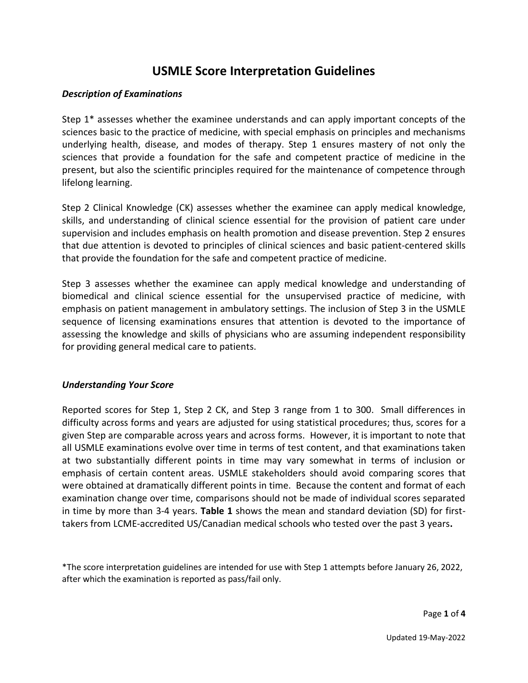# **USMLE Score Interpretation Guidelines**

## *Description of Examinations*

Step 1\* assesses whether the examinee understands and can apply important concepts of the sciences basic to the practice of medicine, with special emphasis on principles and mechanisms underlying health, disease, and modes of therapy. Step 1 ensures mastery of not only the sciences that provide a foundation for the safe and competent practice of medicine in the present, but also the scientific principles required for the maintenance of competence through lifelong learning.

Step 2 Clinical Knowledge (CK) assesses whether the examinee can apply medical knowledge, skills, and understanding of clinical science essential for the provision of patient care under supervision and includes emphasis on health promotion and disease prevention. Step 2 ensures that due attention is devoted to principles of clinical sciences and basic patient-centered skills that provide the foundation for the safe and competent practice of medicine.

Step 3 assesses whether the examinee can apply medical knowledge and understanding of biomedical and clinical science essential for the unsupervised practice of medicine, with emphasis on patient management in ambulatory settings. The inclusion of Step 3 in the USMLE sequence of licensing examinations ensures that attention is devoted to the importance of assessing the knowledge and skills of physicians who are assuming independent responsibility for providing general medical care to patients.

#### *Understanding Your Score*

Reported scores for Step 1, Step 2 CK, and Step 3 range from 1 to 300. Small differences in difficulty across forms and years are adjusted for using statistical procedures; thus, scores for a given Step are comparable across years and across forms. However, it is important to note that all USMLE examinations evolve over time in terms of test content, and that examinations taken at two substantially different points in time may vary somewhat in terms of inclusion or emphasis of certain content areas. USMLE stakeholders should avoid comparing scores that were obtained at dramatically different points in time. Because the content and format of each examination change over time, comparisons should not be made of individual scores separated in time by more than 3-4 years. **Table 1** shows the mean and standard deviation (SD) for firsttakers from LCME-accredited US/Canadian medical schools who tested over the past 3 years**.**

\*The score interpretation guidelines are intended for use with Step 1 attempts before January 26, 2022, after which the examination is reported as pass/fail only.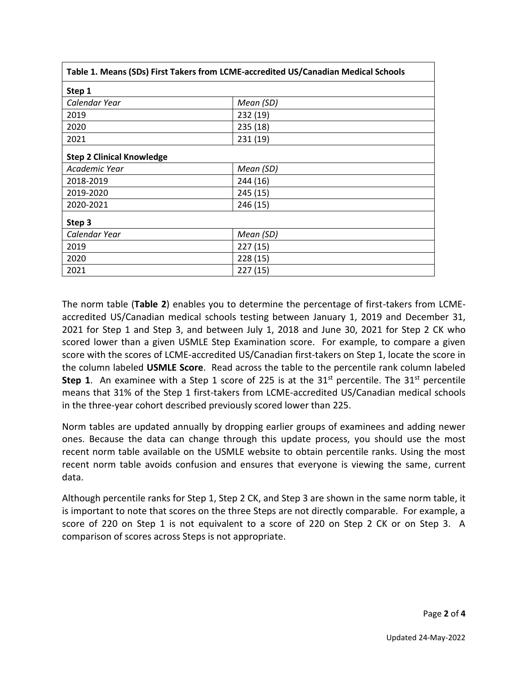| Table 1. Means (SDs) First Takers from LCME-accredited US/Canadian Medical Schools |           |  |  |  |
|------------------------------------------------------------------------------------|-----------|--|--|--|
| Step 1                                                                             |           |  |  |  |
| Calendar Year                                                                      | Mean (SD) |  |  |  |
| 2019                                                                               | 232 (19)  |  |  |  |
| 2020                                                                               | 235(18)   |  |  |  |
| 2021                                                                               | 231 (19)  |  |  |  |
| <b>Step 2 Clinical Knowledge</b>                                                   |           |  |  |  |
| Academic Year                                                                      | Mean (SD) |  |  |  |
| 2018-2019                                                                          | 244 (16)  |  |  |  |
| 2019-2020                                                                          | 245 (15)  |  |  |  |
| 2020-2021                                                                          | 246 (15)  |  |  |  |
| Step 3                                                                             |           |  |  |  |
| Calendar Year                                                                      | Mean (SD) |  |  |  |
| 2019                                                                               | 227(15)   |  |  |  |
| 2020                                                                               | 228 (15)  |  |  |  |
| 2021                                                                               | 227(15)   |  |  |  |

The norm table (**Table 2**) enables you to determine the percentage of first-takers from LCMEaccredited US/Canadian medical schools testing between January 1, 2019 and December 31, 2021 for Step 1 and Step 3, and between July 1, 2018 and June 30, 2021 for Step 2 CK who scored lower than a given USMLE Step Examination score. For example, to compare a given score with the scores of LCME-accredited US/Canadian first-takers on Step 1, locate the score in the column labeled **USMLE Score**. Read across the table to the percentile rank column labeled **Step 1.** An examinee with a Step 1 score of 225 is at the  $31<sup>st</sup>$  percentile. The  $31<sup>st</sup>$  percentile means that 31% of the Step 1 first-takers from LCME-accredited US/Canadian medical schools in the three-year cohort described previously scored lower than 225.

Norm tables are updated annually by dropping earlier groups of examinees and adding newer ones. Because the data can change through this update process, you should use the most recent norm table available on the USMLE website to obtain percentile ranks. Using the most recent norm table avoids confusion and ensures that everyone is viewing the same, current data.

Although percentile ranks for Step 1, Step 2 CK, and Step 3 are shown in the same norm table, it is important to note that scores on the three Steps are not directly comparable. For example, a score of 220 on Step 1 is not equivalent to a score of 220 on Step 2 CK or on Step 3. A comparison of scores across Steps is not appropriate.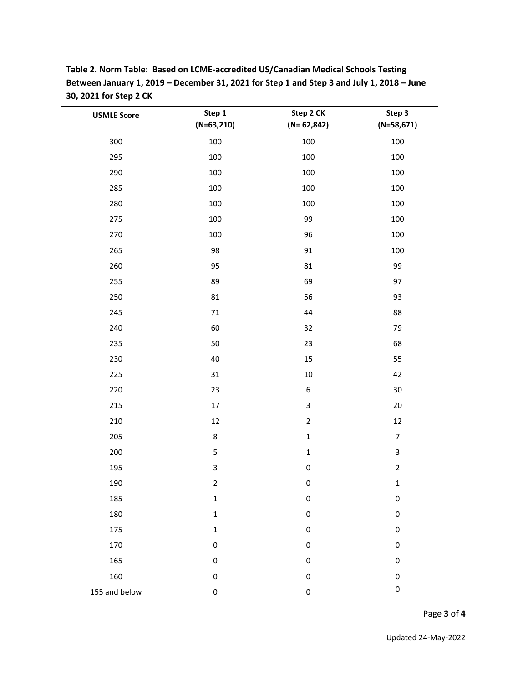**Table 2. Norm Table: Based on LCME-accredited US/Canadian Medical Schools Testing Between January 1, 2019 – December 31, 2021 for Step 1 and Step 3 and July 1, 2018 – June 30, 2021 for Step 2 CK**

| <b>USMLE Score</b> | Step 1<br>$(N=63,210)$ | Step 2 CK<br>$(N=62,842)$ | Step 3<br>$(N=58,671)$ |
|--------------------|------------------------|---------------------------|------------------------|
| 300                | 100                    | 100                       | 100                    |
| 295                | 100                    | 100                       | 100                    |
| 290                | 100                    | 100                       | 100                    |
| 285                | 100                    | 100                       | 100                    |
| 280                | 100                    | 100                       | 100                    |
| 275                | 100                    | 99                        | 100                    |
| 270                | 100                    | 96                        | 100                    |
| 265                | 98                     | 91                        | 100                    |
| 260                | 95                     | 81                        | 99                     |
| 255                | 89                     | 69                        | 97                     |
| 250                | 81                     | 56                        | 93                     |
| 245                | $71\,$                 | 44                        | 88                     |
| 240                | 60                     | 32                        | 79                     |
| 235                | 50                     | 23                        | 68                     |
| 230                | 40                     | 15                        | 55                     |
| 225                | 31                     | $10\,$                    | 42                     |
| 220                | 23                     | $\boldsymbol{6}$          | $30\,$                 |
| 215                | 17                     | 3                         | $20\,$                 |
| 210                | 12                     | $\overline{2}$            | $12\,$                 |
| 205                | $\,8\,$                | $\mathbf 1$               | $\overline{7}$         |
| 200                | $\mathsf S$            | $\mathbf 1$               | $\mathbf{3}$           |
| 195                | $\mathsf 3$            | $\pmb{0}$                 | $\overline{2}$         |
| 190                | $\overline{2}$         | $\pmb{0}$                 | $\mathbf 1$            |
| 185                | $\mathbf 1$            | 0                         | $\pmb{0}$              |
| 180                | $\mathbf 1$            | 0                         | $\mathbf 0$            |
| 175                | $\mathbf 1$            | $\pmb{0}$                 | $\pmb{0}$              |
| 170                | $\pmb{0}$              | $\pmb{0}$                 | $\pmb{0}$              |
| 165                | $\pmb{0}$              | $\pmb{0}$                 | 0                      |
| 160                | $\pmb{0}$              | $\pmb{0}$                 | $\pmb{0}$              |
| 155 and below      | $\pmb{0}$              | 0                         | $\pmb{0}$              |